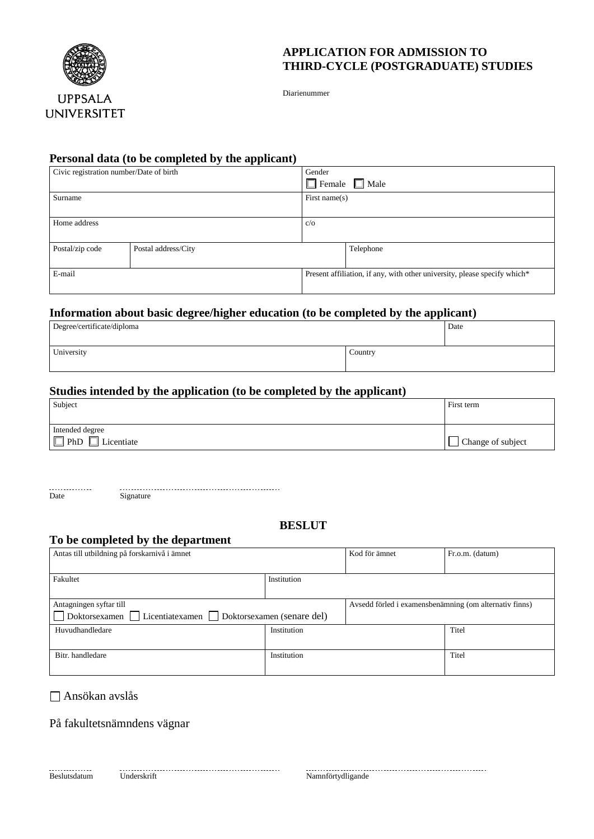

## **APPLICATION FOR ADMISSION TO THIRD-CYCLE (POSTGRADUATE) STUDIES**

Diarienummer

## **Personal data (to be completed by the applicant)**

| Civic registration number/Date of birth |                     | Gender                                                                    |           |  |
|-----------------------------------------|---------------------|---------------------------------------------------------------------------|-----------|--|
|                                         |                     | $\Box$ Female $\Box$ Male                                                 |           |  |
| Surname                                 |                     | First name $(s)$                                                          |           |  |
|                                         |                     |                                                                           |           |  |
| Home address                            |                     | $c/\sigma$                                                                |           |  |
|                                         |                     |                                                                           |           |  |
| Postal/zip code                         | Postal address/City |                                                                           | Telephone |  |
|                                         |                     |                                                                           |           |  |
| E-mail                                  |                     | Present affiliation, if any, with other university, please specify which* |           |  |
|                                         |                     |                                                                           |           |  |

### **Information about basic degree/higher education (to be completed by the applicant)**

| Degree/certificate/diploma | Date    |  |
|----------------------------|---------|--|
| University                 | Country |  |

# **Studies intended by the application (to be completed by the applicant)**

| Subject                                          | First term        |
|--------------------------------------------------|-------------------|
|                                                  |                   |
| Intended degree                                  |                   |
| $\Box$ PhD<br>– ⊡<br>$\sim$ $\sim$<br>Licentiate | Change of subject |

............. Date Signature

## **BESLUT**

## **To be completed by the department**

| Antas till utbildning på forskarnivå i ämnet                 |             | Kod för ämnet                                          | Fr.o.m. (datum) |
|--------------------------------------------------------------|-------------|--------------------------------------------------------|-----------------|
|                                                              |             |                                                        |                 |
| Fakultet                                                     | Institution |                                                        |                 |
|                                                              |             |                                                        |                 |
| Antagningen syftar till                                      |             | Avsedd förled i examensbenämning (om alternativ finns) |                 |
| Doktorsexamen   Licentiatexamen   Doktorsexamen (senare del) |             |                                                        |                 |
| Huvudhandledare                                              | Institution |                                                        | Titel           |
|                                                              |             |                                                        |                 |
| Bitr. handledare                                             | Institution |                                                        | Titel           |
|                                                              |             |                                                        |                 |

Ansökan avslås

På fakultetsnämndens vägnar

er and the continuum continuum continuum continuum continuum continuum continuum continuum continuum continuum continuum continuum continuum continuum continuum continuum continuum continuum continuum continuum continuum c